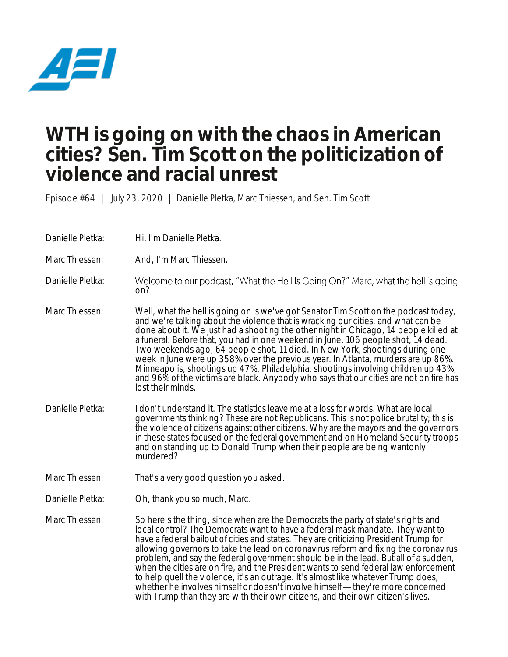

## **WTH is going on with the chaos in American cities? Sen. Tim Scott on the politicization of violence and racial unrest**

Episode #64 | July 23, 2020 | Danielle Pletka, Marc Thiessen, and Sen. Tim Scott

Danielle Pletka: Hi, I'm Danielle Pletka.

Marc Thiessen: And, I'm Marc Thiessen.

Danielle Pletka: Welcome to our podcast, "What the Hell Is Going On?" Marc, what the hell is going on?

Marc Thiessen: Well, what the hell is going on is we've got Senator Tim Scott on the podcast today, and we're talking about the violence that is wracking our cities, and what can be done about it. We just had a shooting the other night in Chicago, 14 people killed at a funeral. Before that, you had in one weekend in June, 106 people shot, 14 dead. Two weekends ago, 64 people shot, 11 died. In New York, shootings during one week in June were up 358% over the previous year. In Atlanta, murders are up 86%. Minneapolis, shootings up 47%. Philadelphia, shootings involving children up 43%, and 96% of the victims are black. Anybody who says that our cities are not on fire has lost their minds.

- Danielle Pletka: I don't understand it. The statistics leave me at a loss for words. What are local governments thinking? These are not Republicans. This is not police brutality; this is the violence of citizens against other citizens. Why are the mayors and the governors in these states focused on the federal government and on Homeland Security troops and on standing up to Donald Trump when their people are being wantonly murdered?
- Marc Thiessen: That's a very good question you asked.
- Danielle Pletka: Oh, thank you so much, Marc.
- Marc Thiessen: So here's the thing, since when are the Democrats the party of state's rights and local control? The Democrats want to have a federal mask mandate. They want to have a federal bailout of cities and states. They are criticizing President Trump for allowing governors to take the lead on coronavirus reform and fixing the coronavirus problem, and say the federal government should be in the lead. But all of a sudden, when the cities are on fire, and the President wants to send federal law enforcement to help quell the violence, it's an outrage. It's almost like whatever Trump does, whether he involves himself or doesn't involve himself — they're more concerned with Trump than they are with their own citizens, and their own citizen's lives.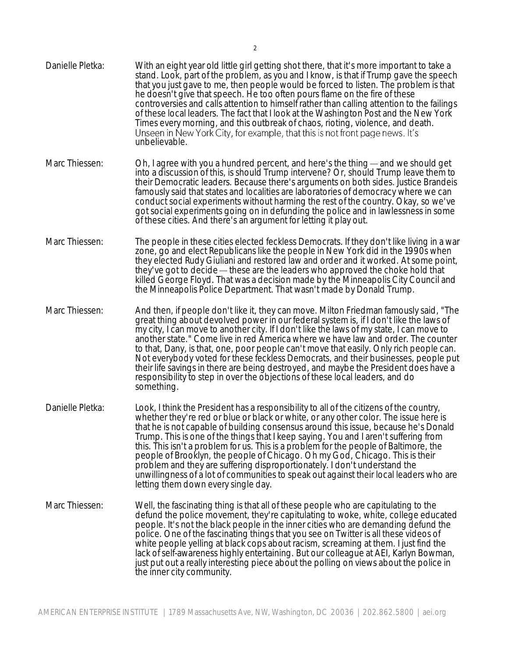| Danielle Pletka: | With an eight year old little girl getting shot there, that it's more important to take a<br>stand. Look, part of the problem, as you and I know, is that if Trump gave the speech<br>that you just gave to me, then people would be forced to listen. The problem is that<br>he doesn't give that speech. He too often pours flame on the fire of these<br>controversies and calls attention to himself rather than calling attention to the failings<br>of these local leaders. The fact that I look at the Washington Post and the New York<br>Times every morning, and this outbreak of chaos, rioting, violence, and death.<br>Unseen in New York City, for example, that this is not front page news. It's<br>unbelievable.                     |
|------------------|-------------------------------------------------------------------------------------------------------------------------------------------------------------------------------------------------------------------------------------------------------------------------------------------------------------------------------------------------------------------------------------------------------------------------------------------------------------------------------------------------------------------------------------------------------------------------------------------------------------------------------------------------------------------------------------------------------------------------------------------------------|
| Marc Thiessen:   | Oh, I agree with you a hundred percent, and here's the thing — and we should get<br>into a discussion of this, is should Trump intervene? Or, should Trump leave them to<br>their Democratic leaders. Because there's arguments on both sides. Justice Brandeis<br>famously said that states and localities are laboratories of democracy where we can<br>conduct social experiments without harming the rest of the country. Okay, so we've<br>got social experiments going on in defunding the police and in lawlessness in some<br>of these cities. And there's an argument for letting it play out.                                                                                                                                               |
| Marc Thiessen:   | The people in these cities elected feckless Democrats. If they don't like living in a war<br>zone, go and elect Republicans like the people in New York did in the 1990s when<br>they elected Rudy Giuliani and restored law and order and it worked. At some point,<br>they've got to decide — these are the leaders who approved the choke hold that<br>killed George Floyd. That was a decision made by the Minneapolis City Council and<br>the Minneapolis Police Department. That wasn't made by Donald Trump.                                                                                                                                                                                                                                   |
| Marc Thiessen:   | And then, if people don't like it, they can move. Milton Friedman famously said, "The<br>great thing about devolved power in our federal system is, if I don't like the laws of<br>my city, I can move to another city. If I don't like the laws of my state, I can move to<br>another state." Come live in red America where we have law and order. The counter<br>to that, Dany, is that, one, poor people can't move that easily. Only rich people can.<br>Not everybody voted for these feckless Democrats, and their businesses, people put<br>their life savings in there are being destroyed, and maybe the President does have a<br>responsibility to step in over the objections of these local leaders, and do<br>something.                |
| Danielle Pletka: | Look, I think the President has a responsibility to all of the citizens of the country,<br>whether they're red or blue or black or white, or any other color. The issue here is<br>that he is not capable of building consensus around this issue, because he's Donald<br>Trump. This is one of the things that I keep saying. You and I aren't suffering from<br>this. This isn't a problem for us. This is a problem for the people of Baltimore, the<br>people of Brooklyn, the people of Chicago. Oh my God, Chicago. This is their<br>problem and they are suffering disproportionately. I don't understand the<br>unwillingness of a lot of communities to speak out against their local leaders who are<br>letting them down every single day. |
| Marc Thiessen:   | Well, the fascinating thing is that all of these people who are capitulating to the<br>defund the police movement, they're capitulating to woke, white, college educated<br>people. It's not the black people in the inner cities who are demanding defund the<br>police. One of the fascinating things that you see on Twitter is all these videos of<br>white people yelling at black cops about racism, screaming at them. I just find the<br>lack of self-awareness highly entertaining. But our colleague at AEI, Karlyn Bowman,<br>just put out a really interesting piece about the polling on views about the police in<br>the inner city community.                                                                                          |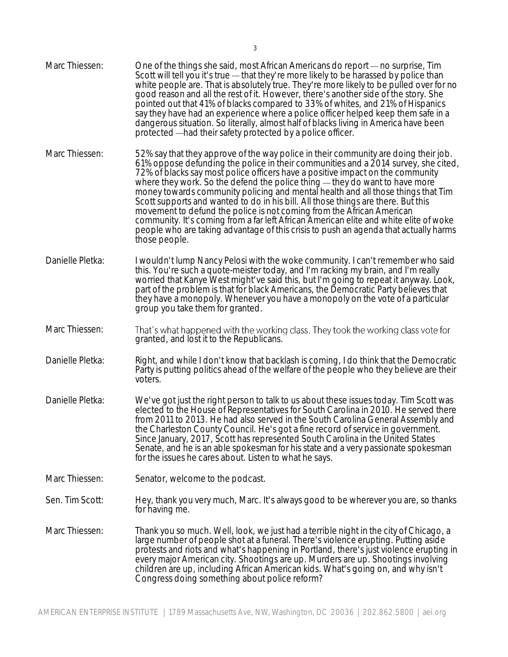Marc Thiessen: One of the things she said, most African Americans do report — no surprise, Tim Scott will tell you it's true  $-$  that they're more likely to be harassed by police than white people are. That is absolutely true. They're more likely to be pulled over for no good reason and all the rest of it. However, there's another side of the story. She pointed out that 41% of blacks compared to 33% of whites, and 21% of Hispanics say they have had an experience where a police officer helped keep them safe in a dangerous situation. So literally, almost half of blacks living in America have been protected —had their safety protected by a police officer. Marc Thiessen: 52% say that they approve of the way police in their community are doing their job. 61% oppose defunding the police in their communities and a 2014 survey, she cited, 72% of blacks say most police officers have a positive impact on the community where they work. So the defend the police thing  $-$  they do want to have more money towards community policing and mental health and all those things that Tim Scott supports and wanted to do in his bill. All those things are there. But this movement to defund the police is not coming from the African American community. It's coming from a far left African American elite and white elite of woke people who are taking advantage of this crisis to push an agenda that actually harms those people. Danielle Pletka: I wouldn't lump Nancy Pelosi with the woke community. I can't remember who said this. You're such a quote-meister today, and I'm racking my brain, and I'm really worried that Kanye West might've said this, but I'm going to repeat it anyway. Look, part of the problem is that for black Americans, the Democratic Party believes that they have a monopoly. Whenever you have a monopoly on the vote of a particular group you take them for granted. Marc Thiessen: That's what happened with the working class. They took the working class vote for granted, and lost it to the Republicans. Danielle Pletka: Right, and while I don't know that backlash is coming, I do think that the Democratic Party is putting politics ahead of the welfare of the people who they believe are their voters. Danielle Pletka: We've got just the right person to talk to us about these issues today. Tim Scott was elected to the House of Representatives for South Carolina in 2010. He served there from 2011 to 2013. He had also served in the South Carolina General Assembly and the Charleston County Council. He's got a fine record of service in government. Since January, 2017, Scott has represented South Carolina in the United States Senate, and he is an able spokesman for his state and a very passionate spokesman for the issues he cares about. Listen to what he says. Marc Thiessen: Senator, welcome to the podcast. Sen. Tim Scott: Hey, thank you very much, Marc. It's always good to be wherever you are, so thanks for having me. Marc Thiessen: Thank you so much. Well, look, we just had a terrible night in the city of Chicago, a large number of people shot at a funeral. There's violence erupting. Putting aside protests and riots and what's happening in Portland, there's just violence erupting in every major American city. Shootings are up. Murders are up. Shootings involving children are up, including African American kids. What's going on, and why isn't Congress doing something about police reform?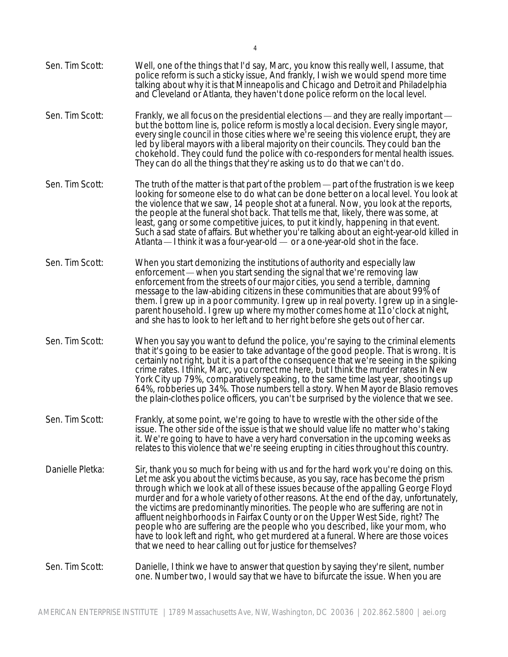Sen. Tim Scott: Well, one of the things that I'd say, Marc, you know this really well, I assume, that police reform is such a sticky issue, And frankly, I wish we would spend more time talking about why it is that Minneapolis and Chicago and Detroit and Philadelphia and Cleveland or Atlanta, they haven't done police reform on the local level. Sen. Tim Scott: Frankly, we all focus on the presidential elections — and they are really important but the bottom line is, police reform is mostly a local decision. Every single mayor, every single council in those cities where we're seeing this violence erupt, they are led by liberal mayors with a liberal majority on their councils. They could ban the chokehold. They could fund the police with co-responders for mental health issues. They can do all the things that they're asking us to do that we can't do. Sen. Tim Scott: The truth of the matter is that part of the problem — part of the frustration is we keep looking for someone else to do what can be done better on a local level. You look at the violence that we saw, 14 people shot at a funeral. Now, you look at the reports, the people at the funeral shot back. That tells me that, likely, there was some, at least, gang or some competitive juices, to put it kindly, happening in that event. Such a sad state of affairs. But whether you're talking about an eight-year-old killed in Atlanta  $-$  I think it was a four-year-old  $-$  or a one-year-old shot in the face. Sen. Tim Scott: When you start demonizing the institutions of authority and especially law enforcement — when you start sending the signal that we're removing law enforcement from the streets of our major cities, you send a terrible, damning message to the law-abiding citizens in these communities that are about 99% of them. I grew up in a poor community. I grew up in real poverty. I grew up in a singleparent household. I grew up where my mother comes home at 11 o'clock at night, and she has to look to her left and to her right before she gets out of her car. Sen. Tim Scott: When you say you want to defund the police, you're saying to the criminal elements that it's going to be easier to take advantage of the good people. That is wrong. It is certainly not right, but it is a part of the consequence that we're seeing in the spiking crime rates. I think, Marc, you correct me here, but I think the murder rates in New York City up 79%, comparatively speaking, to the same time last year, shootings up 64%, robberies up 34%. Those numbers tell a story. When Mayor de Blasio removes the plain-clothes police officers, you can't be surprised by the violence that we see. Sen. Tim Scott: Frankly, at some point, we're going to have to wrestle with the other side of the issue. The other side of the issue is that we should value life no matter who's taking it. We're going to have to have a very hard conversation in the upcoming weeks as relates to this violence that we're seeing erupting in cities throughout this country. Danielle Pletka: Sir, thank you so much for being with us and for the hard work you're doing on this. Let me ask you about the victims because, as you say, race has become the prism through which we look at all of these issues because of the appalling George Floyd murder and for a whole variety of other reasons. At the end of the day, unfortunately, the victims are predominantly minorities. The people who are suffering are not in affluent neighborhoods in Fairfax County or on the Upper West Side, right? The people who are suffering are the people who you described, like your mom, who have to look left and right, who get murdered at a funeral. Where are those voices that we need to hear calling out for justice for themselves? Sen. Tim Scott: Danielle, I think we have to answer that question by saying they're silent, number one. Number two, I would say that we have to bifurcate the issue. When you are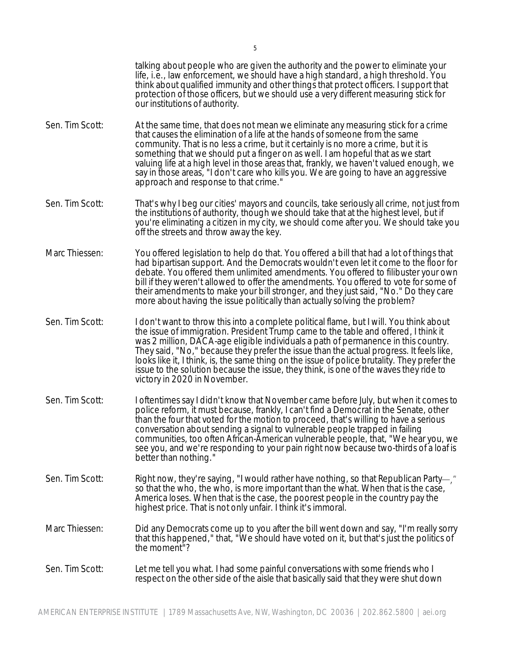talking about people who are given the authority and the power to eliminate your life, i.e., law enforcement, we should have a high standard, a high threshold. You think about qualified immunity and other things that protect officers. I support that protection of those officers, but we should use a very different measuring stick for our institutions of authority. Sen. Tim Scott: At the same time, that does not mean we eliminate any measuring stick for a crime that causes the elimination of a life at the hands of someone from the same community. That is no less a crime, but it certainly is no more a crime, but it is something that we should put a finger on as well. I am hopeful that as we start valuing life at a high level in those areas that, frankly, we haven't valued enough, we say in those areas, "I don't care who kills you. We are going to have an aggressive approach and response to that crime." Sen. Tim Scott: That's why I beg our cities' mayors and councils, take seriously all crime, not just from the institutions of authority, though we should take that at the highest level, but if you're eliminating a citizen in my city, we should come after you. We should take you off the streets and throw away the key. Marc Thiessen: You offered legislation to help do that. You offered a bill that had a lot of things that had bipartisan support. And the Democrats wouldn't even let it come to the floor for debate. You offered them unlimited amendments. You offered to filibuster your own bill if they weren't allowed to offer the amendments. You offered to vote for some of their amendments to make your bill stronger, and they just said, "No." Do they care more about having the issue politically than actually solving the problem? Sen. Tim Scott: I don't want to throw this into a complete political flame, but I will. You think about the issue of immigration. President Trump came to the table and offered, I think it was 2 million, DACA-age eligible individuals a path of permanence in this country. They said, "No," because they prefer the issue than the actual progress. It feels like, looks like it, I think, is, the same thing on the issue of police brutality. They prefer the issue to the solution because the issue, they think, is one of the waves they ride to victory in 2020 in November. Sen. Tim Scott: I oftentimes say I didn't know that November came before July, but when it comes to police reform, it must because, frankly, I can't find a Democrat in the Senate, other than the four that voted for the motion to proceed, that's willing to have a serious conversation about sending a signal to vulnerable people trapped in failing communities, too often African-American vulnerable people, that, "We hear you, we see you, and we're responding to your pain right now because two-thirds of a loaf is better than nothing." Sen. Tim Scott: Right now, they're saying, "I would rather have nothing, so that Republican Party-," so that the who, the who, is more important than the what. When that is the case, America loses. When that is the case, the poorest people in the country pay the highest price. That is not only unfair. I think it's immoral. Marc Thiessen: Did any Democrats come up to you after the bill went down and say, "I'm really sorry that this happened," that, "We should have voted on it, but that's just the politics of the moment"? Sen. Tim Scott: Let me tell you what. I had some painful conversations with some friends who I respect on the other side of the aisle that basically said that they were shut down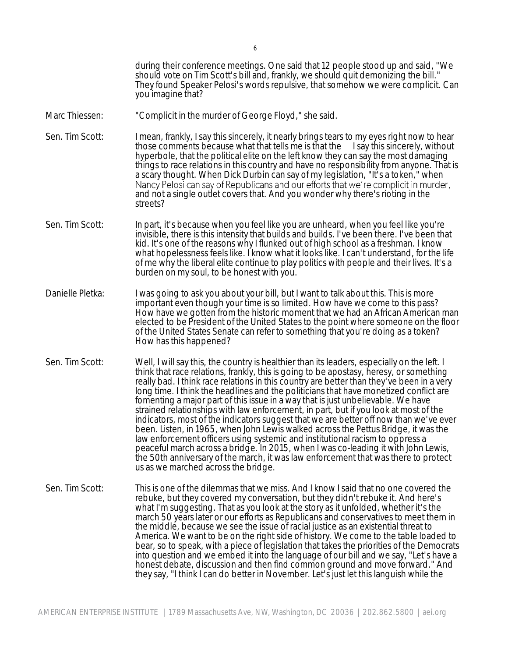during their conference meetings. One said that 12 people stood up and said, "We should vote on Tim Scott's bill and, frankly, we should quit demonizing the bill." They found Speaker Pelosi's words repulsive, that somehow we were complicit. Can you imagine that?

- Marc Thiessen: "Complicit in the murder of George Floyd," she said.
- Sen. Tim Scott: I mean, frankly, I say this sincerely, it nearly brings tears to my eyes right now to hear those comments because what that tells me is that the  $-1$  say this sincerely, without hyperbole, that the political elite on the left know they can say the most damaging things to race relations in this country and have no responsibility from anyone. That is a scary thought. When Dick Durbin can say of my legislation, "It's a token," when<br>Nancy Pelosi can say of Republicans and our efforts that we're complicit in murder, and not a single outlet covers that. And you wonder why there's rioting in the streets?
- Sen. Tim Scott: In part, it's because when you feel like you are unheard, when you feel like you're invisible, there is this intensity that builds and builds. I've been there. I've been that kid. It's one of the reasons why I flunked out of high school as a freshman. I know what hopelessness feels like. I know what it looks like. I can't understand, for the life of me why the liberal elite continue to play politics with people and their lives. It's a burden on my soul, to be honest with you.
- Danielle Pletka: I was going to ask you about your bill, but I want to talk about this. This is more important even though your time is so limited. How have we come to this pass? How have we gotten from the historic moment that we had an African American man elected to be President of the United States to the point where someone on the floor of the United States Senate can refer to something that you're doing as a token? How has this happened?
- Sen. Tim Scott: Well, I will say this, the country is healthier than its leaders, especially on the left. I think that race relations, frankly, this is going to be apostasy, heresy, or something really bad. I think race relations in this country are better than they've been in a very long time. I think the headlines and the politicians that have monetized conflict are fomenting a major part of this issue in a way that is just unbelievable. We have strained relationships with law enforcement, in part, but if you look at most of the indicators, most of the indicators suggest that we are better off now than we've ever been. Listen, in 1965, when John Lewis walked across the Pettus Bridge, it was the law enforcement officers using systemic and institutional racism to oppress a peaceful march across a bridge. In 2015, when I was co-leading it with John Lewis, the 50th anniversary of the march, it was law enforcement that was there to protect us as we marched across the bridge.
- Sen. Tim Scott: This is one of the dilemmas that we miss. And I know I said that no one covered the rebuke, but they covered my conversation, but they didn't rebuke it. And here's what I'm suggesting. That as you look at the story as it unfolded, whether it's the march 50 years later or our efforts as Republicans and conservatives to meet them in the middle, because we see the issue of racial justice as an existential threat to America. We want to be on the right side of history. We come to the table loaded to bear, so to speak, with a piece of legislation that takes the priorities of the Democrats into question and we embed it into the language of our bill and we say, "Let's have a honest debate, discussion and then find common ground and move forward." And they say, "I think I can do better in November. Let's just let this languish while the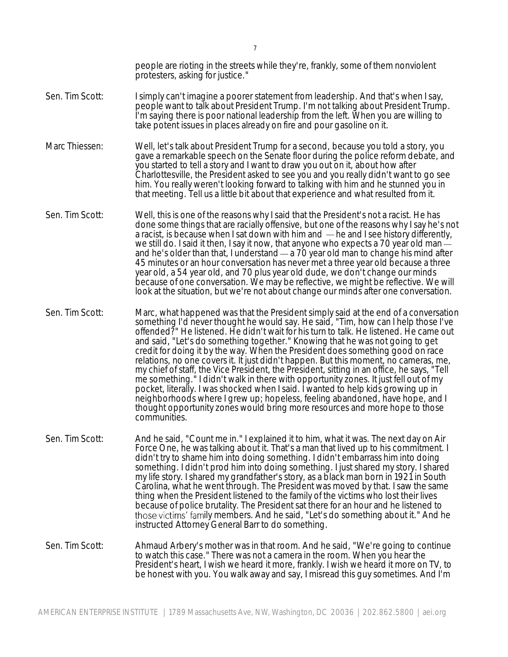people are rioting in the streets while they're, frankly, some of them nonviolent protesters, asking for justice."

- Sen. Tim Scott: I simply can't imagine a poorer statement from leadership. And that's when I say, people want to talk about President Trump. I'm not talking about President Trump. I'm saying there is poor national leadership from the left. When you are willing to take potent issues in places already on fire and pour gasoline on it.
- Marc Thiessen: Well, let's talk about President Trump for a second, because you told a story, you gave a remarkable speech on the Senate floor during the police reform debate, and you started to tell a story and I want to draw you out on it, about how after Charlottesville, the President asked to see you and you really didn't want to go see him. You really weren't looking forward to talking with him and he stunned you in that meeting. Tell us a little bit about that experience and what resulted from it.
- Sen. Tim Scott: Well, this is one of the reasons why I said that the President's not a racist. He has done some things that are racially offensive, but one of the reasons why I say he's not a racist, is because when I sat down with him and  $-$  he and I see history differently, we still do. I said it then, I say it now, that anyone who expects a 70 year old man and he's older than that, I understand  $-$  a 70 year old man to change his mind after 45 minutes or an hour conversation has never met a three year old because a three year old, a 54 year old, and 70 plus year old dude, we don't change our minds because of one conversation. We may be reflective, we might be reflective. We will look at the situation, but we're not about change our minds after one conversation.
- Sen. Tim Scott: Marc, what happened was that the President simply said at the end of a conversation something I'd never thought he would say. He said, "Tim, how can I help those I've offended?" He listened. He didn't wait for his turn to talk. He listened. He came out and said, "Let's do something together." Knowing that he was not going to get credit for doing it by the way. When the President does something good on race relations, no one covers it. It just didn't happen. But this moment, no cameras, me, my chief of staff, the Vice President, the President, sitting in an office, he says, "Tell me something." I didn't walk in there with opportunity zones. It just fell out of my pocket, literally. I was shocked when I said. I wanted to help kids growing up in neighborhoods where I grew up; hopeless, feeling abandoned, have hope, and I thought opportunity zones would bring more resources and more hope to those communities.
- Sen. Tim Scott: And he said, "Count me in." I explained it to him, what it was. The next day on Air Force One, he was talking about it. That's a man that lived up to his commitment. I didn't try to shame him into doing something. I didn't embarrass him into doing something. I didn't prod him into doing something. I just shared my story. I shared my life story. I shared my grandfather's story, as a black man born in 1921 in South Carolina, what he went through. The President was moved by that. I saw the same thing when the President listened to the family of the victims who lost their lives because of police brutality. The President sat there for an hour and he listened to those victims' family members. And he said, "Let's do something about it." And he instructed Attorney General Barr to do something.
- Sen. Tim Scott: Ahmaud Arbery's mother was in that room. And he said, "We're going to continue to watch this case." There was not a camera in the room. When you hear the President's heart, I wish we heard it more, frankly. I wish we heard it more on TV, to be honest with you. You walk away and say, I misread this guy sometimes. And I'm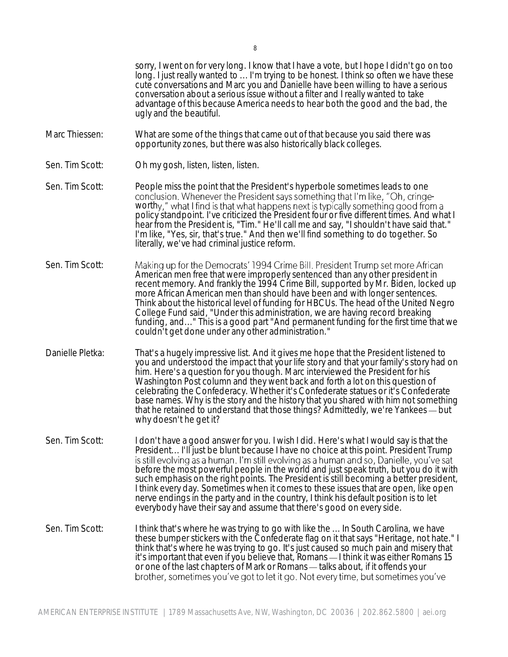cute conversations and Marc you and Danielle have been willing to have a serious conversation about a serious issue without a filter and I really wanted to take advantage of this because America needs to hear both the good and the bad, the ugly and the beautiful. Marc Thiessen: What are some of the things that came out of that because you said there was opportunity zones, but there was also historically black colleges. Sen. Tim Scott: Oh my gosh, listen, listen, listen. Sen. Tim Scott: People miss the point that the President's hyperbole sometimes leads to one conclusion. Whenever the President says something that I'm like, "Oh, cringeworthy," what I find is that what happens next is typically something good from a policy standpoint. I've criticized the President four or five different times. And what I hear from the President is, "Tim." He'll call me and say, "I shouldn't have said that." I'm like, "Yes, sir, that's true." And then we'll find something to do together. So literally, we've had criminal justice reform. Sen. Tim Scott: Making up for the Democrats' 1994 Crime Bill. President Trump set more African American men free that were improperly sentenced than any other president in recent memory. And frankly the 1994 Crime Bill, supported by Mr. Biden, locked up more African American men than should have been and with longer sentences. Think about the historical level of funding for HBCUs. The head of the United Negro College Fund said, "Under this administration, we are having record breaking funding, and..." This is a good part "And permanent funding for the first time that we couldn't get done under any other administration." Danielle Pletka: That's a hugely impressive list. And it gives me hope that the President listened to you and understood the impact that your life story and that your family's story had on him. Here's a question for you though. Marc interviewed the President for his Washington Post column and they went back and forth a lot on this question of celebrating the Confederacy. Whether it's Confederate statues or it's Confederate base names. Why is the story and the history that you shared with him not something that he retained to understand that those things? Admittedly, we're Yankees  $-$  but why doesn't he get it? Sen. Tim Scott: I don't have a good answer for you. I wish I did. Here's what I would say is that the President... I'll just be blunt because I have no choice at this point. President Trump<br>is still evolving as a human. I'm still evolving as a human and so, Danielle, you've sat before the most powerful people in the world and just speak truth, but you do it with such emphasis on the right points. The President is still becoming a better president, I think every day. Sometimes when it comes to these issues that are open, like open nerve endings in the party and in the country, I think his default position is to let everybody have their say and assume that there's good on every side. Sen. Tim Scott: I think that's where he was trying to go with like the ... In South Carolina, we have these bumper stickers with the Confederate flag on it that says "Heritage, not hate." I think that's where he was trying to go. It's just caused so much pain and misery that it's important that even if you believe that, Romans — I think it was either Romans 15 or one of the last chapters of Mark or Romans talks about, if it offends your brother, sometimes you've got to let it go. Not every time, but sometimes you've

sorry, I went on for very long. I know that I have a vote, but I hope I didn't go on too long. I just really wanted to ... I'm trying to be honest. I think so often we have these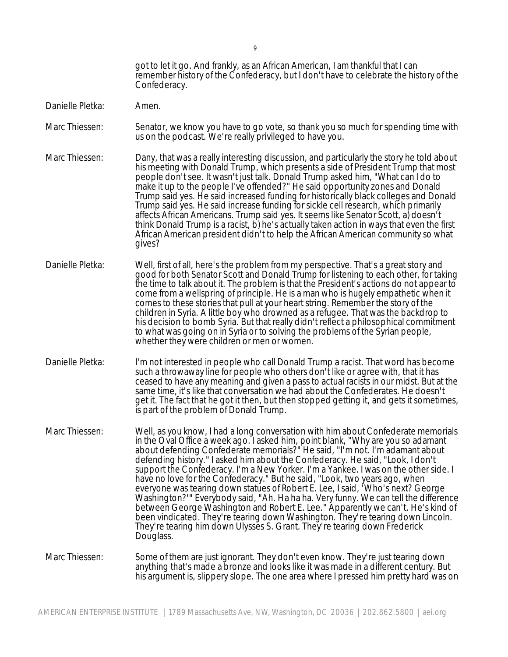got to let it go. And frankly, as an African American, I am thankful that I can remember history of the Confederacy, but I don't have to celebrate the history of the Confederacy.

- Danielle Pletka: Amen.
- Marc Thiessen: Senator, we know you have to go vote, so thank you so much for spending time with us on the podcast. We're really privileged to have you.
- Marc Thiessen: Dany, that was a really interesting discussion, and particularly the story he told about his meeting with Donald Trump, which presents a side of President Trump that most people don't see. It wasn't just talk. Donald Trump asked him, "What can I do to make it up to the people I've offended?" He said opportunity zones and Donald Trump said yes. He said increased funding for historically black colleges and Donald Trump said yes. He said increase funding for sickle cell research, which primarily affects African Americans. Trump said yes. It seems like Senator Scott, a) doesn't think Donald Trump is a racist, b) he's actually taken action in ways that even the first African American president didn't to help the African American community so what gives?
- Danielle Pletka: Well, first of all, here's the problem from my perspective. That's a great story and good for both Senator Scott and Donald Trump for listening to each other, for taking the time to talk about it. The problem is that the President's actions do not appear to come from a wellspring of principle. He is a man who is hugely empathetic when it comes to these stories that pull at your heart string. Remember the story of the children in Syria. A little boy who drowned as a refugee. That was the backdrop to his decision to bomb Syria. But that really didn't reflect a philosophical commitment to what was going on in Syria or to solving the problems of the Syrian people, whether they were children or men or women.
- Danielle Pletka: I'm not interested in people who call Donald Trump a racist. That word has become such a throwaway line for people who others don't like or agree with, that it has ceased to have any meaning and given a pass to actual racists in our midst. But at the same time, it's like that conversation we had about the Confederates. He doesn't get it. The fact that he got it then, but then stopped getting it, and gets it sometimes, is part of the problem of Donald Trump.
- Marc Thiessen: Well, as you know, I had a long conversation with him about Confederate memorials in the Oval Office a week ago. I asked him, point blank, "Why are you so adamant about defending Confederate memorials?" He said, "I'm not. I'm adamant about defending history." I asked him about the Confederacy. He said, "Look, I don't support the Confederacy. I'm a New Yorker. I'm a Yankee. I was on the other side. I have no love for the Confederacy." But he said, "Look, two years ago, when everyone was tearing down statues of Robert E. Lee, I said, 'Who's next? George Washington?'" Everybody said, "Ah. Ha ha ha. Very funny. We can tell the difference between George Washington and Robert E. Lee." Apparently we can't. He's kind of been vindicated. They're tearing down Washington. They're tearing down Lincoln. They're tearing him down Ulysses S. Grant. They're tearing down Frederick Douglass.

## Marc Thiessen: Some of them are just ignorant. They don't even know. They're just tearing down anything that's made a bronze and looks like it was made in a different century. But his argument is, slippery slope. The one area where I pressed him pretty hard was on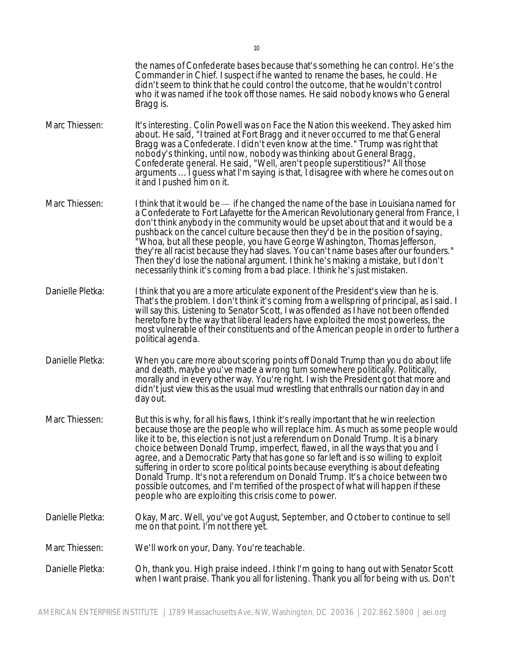|                  | the names of Confederate bases because that's something he can control. He's the<br>Commander in Chief. I suspect if he wanted to rename the bases, he could. He<br>didn't seem to think that he could control the outcome, that he wouldn't control<br>who it was named if he took off those names. He said nobody knows who General<br>Bragg is.                                                                                                                                                                                                                                                                                                                                                                                                                  |
|------------------|---------------------------------------------------------------------------------------------------------------------------------------------------------------------------------------------------------------------------------------------------------------------------------------------------------------------------------------------------------------------------------------------------------------------------------------------------------------------------------------------------------------------------------------------------------------------------------------------------------------------------------------------------------------------------------------------------------------------------------------------------------------------|
| Marc Thiessen:   | It's interesting. Colin Powell was on Face the Nation this weekend. They asked him<br>about. He said, "I trained at Fort Bragg and it never occurred to me that General<br>Bragg was a Confederate. I didn't even know at the time." Trump was right that<br>nobody's thinking, until now, nobody was thinking about General Bragg,<br>Confederate general. He said, "Well, aren't people superstitious?" All those<br>arguments  I guess what I'm saying is that, I disagree with where he comes out on<br>it and I pushed him on it.                                                                                                                                                                                                                              |
| Marc Thiessen:   | I think that it would be — if he changed the name of the base in Louisiana named for<br>a Confederate to Fort Lafayette for the American Revolutionary general from France, I<br>don't think anybody in the community would be upset about that and it would be a<br>pushback on the cancel culture because then they'd be in the position of saying,<br>"Whoa, but all these people, you have George Washington, Thomas Jefferson,`<br>they're all racist because they had slaves. You can't name bases after our founders."<br>Then they'd lose the national argument. I think he's making a mistake, but I don't<br>necessarily think it's coming from a bad place. I think he's just mistaken.                                                                  |
| Danielle Pletka: | I think that you are a more articulate exponent of the President's view than he is.<br>That's the problem. I don't think it's coming from a wellspring of principal, as I said. I<br>will say this. Listening to Senator Scott, I was offended as I have not been offended<br>heretofore by the way that liberal leaders have exploited the most powerless, the<br>most vulnerable of their constituents and of the American people in order to further a<br>political agenda.                                                                                                                                                                                                                                                                                      |
| Danielle Pletka: | When you care more about scoring points off Donald Trump than you do about life<br>and death, maybe you've made a wrong turn somewhere politically. Politically,<br>morally and in every other way. You're right. I wish the President got that more and<br>didn't just view this as the usual mud wrestling that enthralls our nation day in and<br>day out.                                                                                                                                                                                                                                                                                                                                                                                                       |
| Marc Thiessen:   | But this is why, for all his flaws, I think it's really important that he win reelection<br>because those are the people who will replace him. As much as some people would<br>like it to be, this election is not just a referendum on Donald Trump. It is a binary<br>choice between Donald Trump, imperfect, flawed, in all the ways that you and I<br>agree, and a Democratic Party that has gone so far left and is so willing to exploit<br>suffering in order to score political points because everything is about defeating<br>Donald Trump. It's not a referendum on Donald Trump. It's a choice between two<br>possible outcomes, and I'm terrified of the prospect of what will happen if these<br>people who are exploiting this crisis come to power. |
| Danielle Pletka: | Okay, Marc. Well, you've got August, September, and October to continue to sell<br>me on that point. I'm not there yet.                                                                                                                                                                                                                                                                                                                                                                                                                                                                                                                                                                                                                                             |
| Marc Thiessen:   | We'll work on your, Dany. You're teachable.                                                                                                                                                                                                                                                                                                                                                                                                                                                                                                                                                                                                                                                                                                                         |
| Danielle Pletka: | Oh, thank you. High praise indeed. I think I'm going to hang out with Senator Scott<br>when I want praise. Thank you all for listening. Thank you all for being with us. Don't                                                                                                                                                                                                                                                                                                                                                                                                                                                                                                                                                                                      |